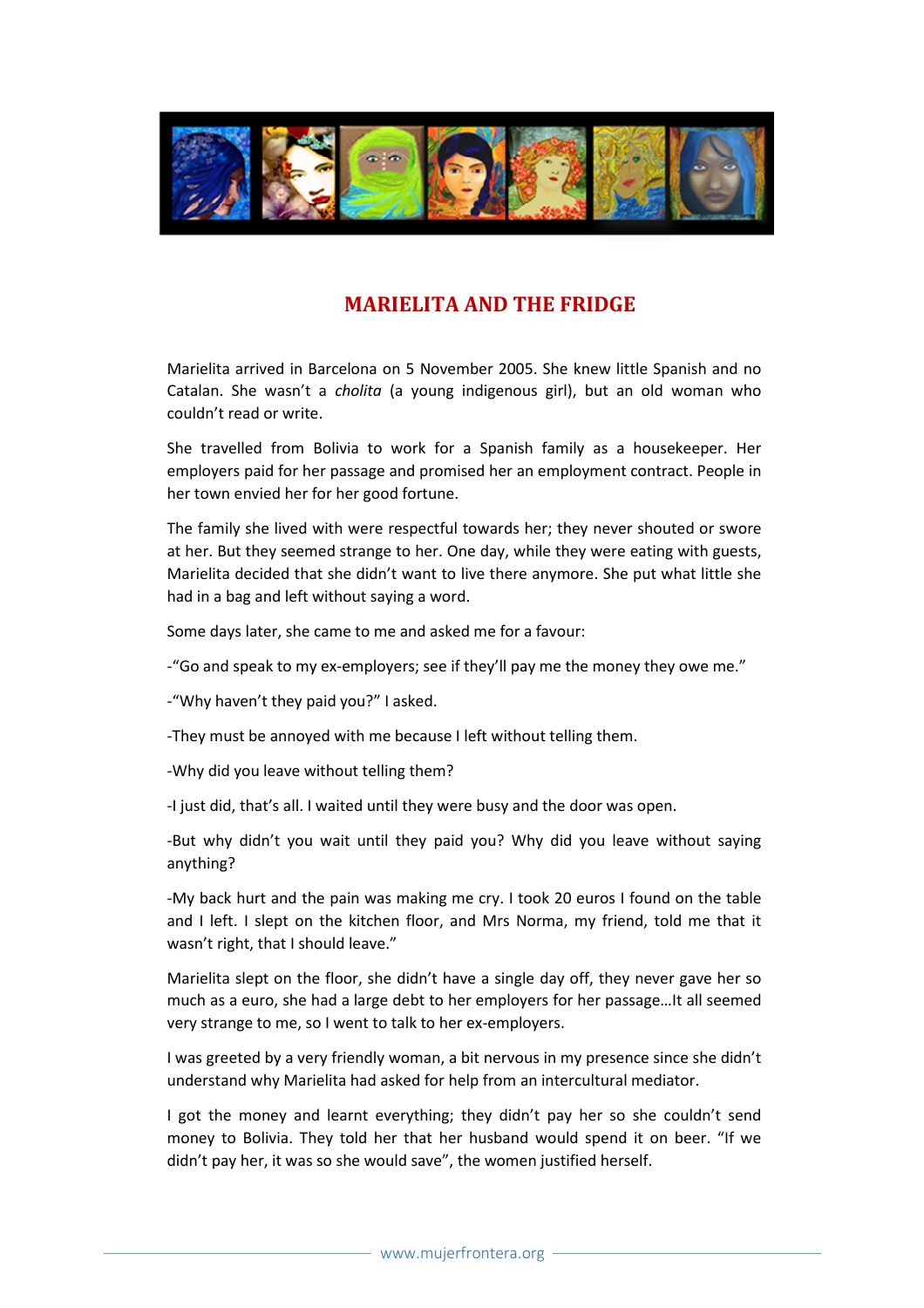

## MARIELITA AND THE FRIDGE

Marielita arrived in Barcelona on 5 November 2005. She knew little Spanish and no Catalan. She wasn't a cholita (a young indigenous girl), but an old woman who couldn't read or write.

She travelled from Bolivia to work for a Spanish family as a housekeeper. Her employers paid for her passage and promised her an employment contract. People in her town envied her for her good fortune.

The family she lived with were respectful towards her; they never shouted or swore at her. But they seemed strange to her. One day, while they were eating with guests, Marielita decided that she didn't want to live there anymore. She put what little she had in a bag and left without saying a word.

Some days later, she came to me and asked me for a favour:

-"Go and speak to my ex-employers; see if they'll pay me the money they owe me."

-"Why haven't they paid you?" I asked.

-They must be annoyed with me because I left without telling them.

-Why did you leave without telling them?

-I just did, that's all. I waited until they were busy and the door was open.

-But why didn't you wait until they paid you? Why did you leave without saying anything?

-My back hurt and the pain was making me cry. I took 20 euros I found on the table and I left. I slept on the kitchen floor, and Mrs Norma, my friend, told me that it wasn't right, that I should leave."

Marielita slept on the floor, she didn't have a single day off, they never gave her so much as a euro, she had a large debt to her employers for her passage…It all seemed very strange to me, so I went to talk to her ex-employers.

I was greeted by a very friendly woman, a bit nervous in my presence since she didn't understand why Marielita had asked for help from an intercultural mediator.

I got the money and learnt everything; they didn't pay her so she couldn't send money to Bolivia. They told her that her husband would spend it on beer. "If we didn't pay her, it was so she would save", the women justified herself.